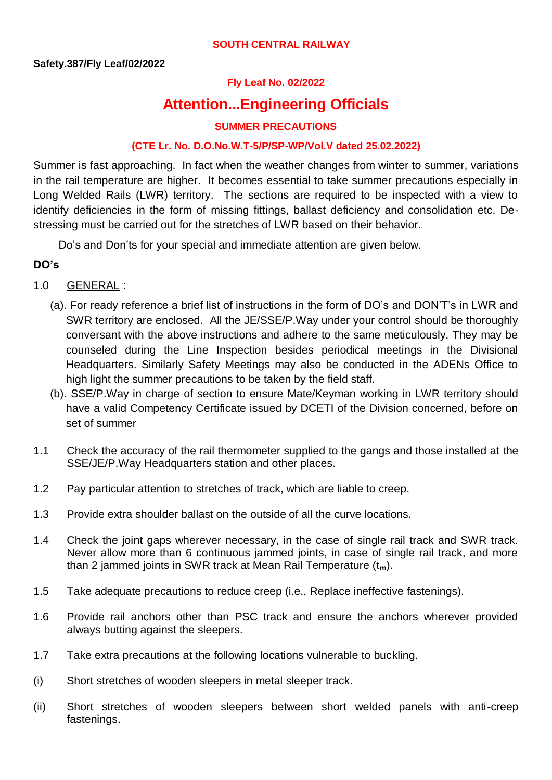#### **SOUTH CENTRAL RAILWAY**

## **Fly Leaf No. 02/2022**

# **Attention...Engineering Officials**

#### **SUMMER PRECAUTIONS**

#### **(CTE Lr. No. D.O.No.W.T-5/P/SP-WP/Vol.V dated 25.02.2022)**

Summer is fast approaching. In fact when the weather changes from winter to summer, variations in the rail temperature are higher. It becomes essential to take summer precautions especially in Long Welded Rails (LWR) territory. The sections are required to be inspected with a view to identify deficiencies in the form of missing fittings, ballast deficiency and consolidation etc. Destressing must be carried out for the stretches of LWR based on their behavior.

Do's and Don'ts for your special and immediate attention are given below.

#### **DO's**

- 1.0 GENERAL :
	- (a). For ready reference a brief list of instructions in the form of DO's and DON'T's in LWR and SWR territory are enclosed. All the JE/SSE/P.Way under your control should be thoroughly conversant with the above instructions and adhere to the same meticulously. They may be counseled during the Line Inspection besides periodical meetings in the Divisional Headquarters. Similarly Safety Meetings may also be conducted in the ADENs Office to high light the summer precautions to be taken by the field staff.
	- (b). SSE/P.Way in charge of section to ensure Mate/Keyman working in LWR territory should have a valid Competency Certificate issued by DCETI of the Division concerned, before on set of summer
- 1.1 Check the accuracy of the rail thermometer supplied to the gangs and those installed at the SSE/JE/P.Way Headquarters station and other places.
- 1.2 Pay particular attention to stretches of track, which are liable to creep.
- 1.3 Provide extra shoulder ballast on the outside of all the curve locations.
- 1.4 Check the joint gaps wherever necessary, in the case of single rail track and SWR track. Never allow more than 6 continuous jammed joints, in case of single rail track, and more than 2 jammed joints in SWR track at Mean Rail Temperature (t**m**).
- 1.5 Take adequate precautions to reduce creep (i.e., Replace ineffective fastenings).
- 1.6 Provide rail anchors other than PSC track and ensure the anchors wherever provided always butting against the sleepers.
- 1.7 Take extra precautions at the following locations vulnerable to buckling.
- (i) Short stretches of wooden sleepers in metal sleeper track.
- (ii) Short stretches of wooden sleepers between short welded panels with anti-creep fastenings.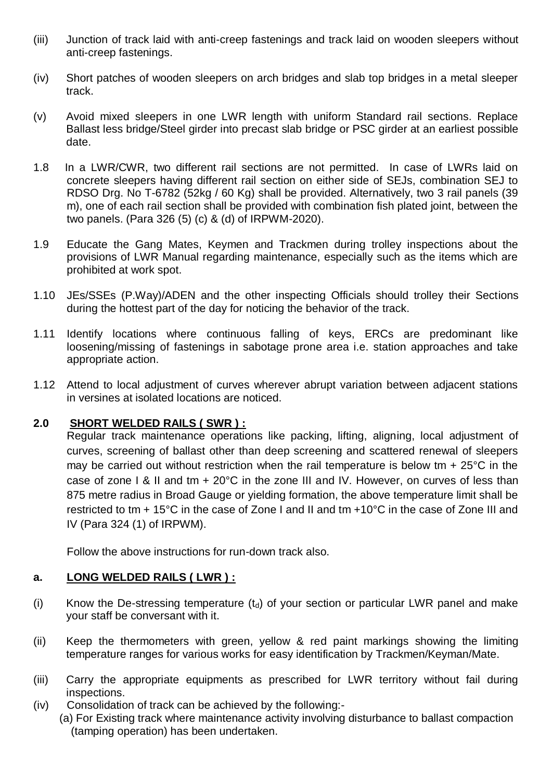- (iii) Junction of track laid with anti-creep fastenings and track laid on wooden sleepers without anti-creep fastenings.
- (iv) Short patches of wooden sleepers on arch bridges and slab top bridges in a metal sleeper track.
- (v) Avoid mixed sleepers in one LWR length with uniform Standard rail sections. Replace Ballast less bridge/Steel girder into precast slab bridge or PSC girder at an earliest possible date.
- 1.8 In a LWR/CWR, two different rail sections are not permitted. In case of LWRs laid on concrete sleepers having different rail section on either side of SEJs, combination SEJ to RDSO Drg. No T-6782 (52kg / 60 Kg) shall be provided. Alternatively, two 3 rail panels (39 m), one of each rail section shall be provided with combination fish plated joint, between the two panels. (Para 326 (5) (c) & (d) of IRPWM-2020).
- 1.9 Educate the Gang Mates, Keymen and Trackmen during trolley inspections about the provisions of LWR Manual regarding maintenance, especially such as the items which are prohibited at work spot.
- 1.10 JEs/SSEs (P.Way)/ADEN and the other inspecting Officials should trolley their Sections during the hottest part of the day for noticing the behavior of the track.
- 1.11 Identify locations where continuous falling of keys, ERCs are predominant like loosening/missing of fastenings in sabotage prone area i.e. station approaches and take appropriate action.
- 1.12 Attend to local adjustment of curves wherever abrupt variation between adjacent stations in versines at isolated locations are noticed.

# **2.0 SHORT WELDED RAILS ( SWR ) :**

Regular track maintenance operations like packing, lifting, aligning, local adjustment of curves, screening of ballast other than deep screening and scattered renewal of sleepers may be carried out without restriction when the rail temperature is below tm + 25°C in the case of zone I & II and tm + 20°C in the zone III and IV. However, on curves of less than 875 metre radius in Broad Gauge or yielding formation, the above temperature limit shall be restricted to tm + 15°C in the case of Zone I and II and tm +10°C in the case of Zone III and IV (Para 324 (1) of IRPWM).

Follow the above instructions for run-down track also.

#### **a. LONG WELDED RAILS ( LWR ) :**

- (i) Know the De-stressing temperature  $(t<sub>d</sub>)$  of your section or particular LWR panel and make your staff be conversant with it.
- (ii) Keep the thermometers with green, yellow & red paint markings showing the limiting temperature ranges for various works for easy identification by Trackmen/Keyman/Mate.
- (iii) Carry the appropriate equipments as prescribed for LWR territory without fail during inspections.
- (iv) Consolidation of track can be achieved by the following:-
	- (a) For Existing track where maintenance activity involving disturbance to ballast compaction (tamping operation) has been undertaken.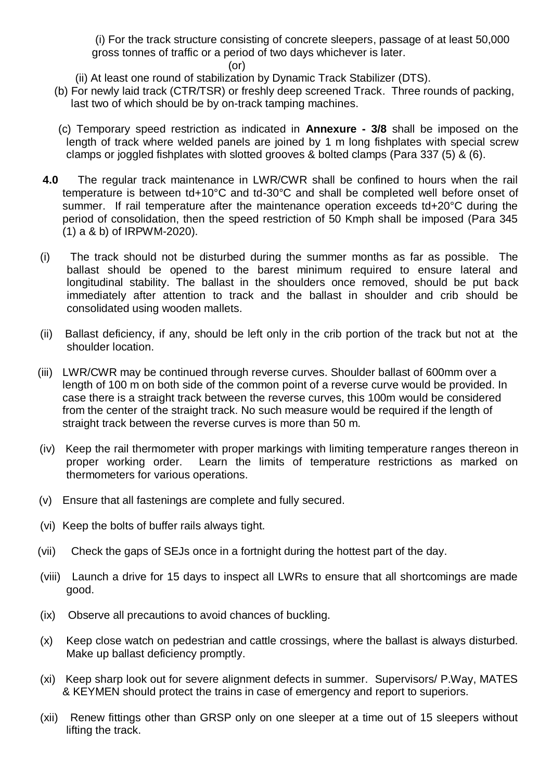(i) For the track structure consisting of concrete sleepers, passage of at least 50,000 gross tonnes of traffic or a period of two days whichever is later.

#### (or)

- (ii) At least one round of stabilization by Dynamic Track Stabilizer (DTS).
- (b) For newly laid track (CTR/TSR) or freshly deep screened Track. Three rounds of packing, last two of which should be by on-track tamping machines.
- (c) Temporary speed restriction as indicated in **Annexure - 3/8** shall be imposed on the length of track where welded panels are joined by 1 m long fishplates with special screw clamps or joggled fishplates with slotted grooves & bolted clamps (Para 337 (5) & (6).
- **4.0** The regular track maintenance in LWR/CWR shall be confined to hours when the rail temperature is between td+10°C and td-30°C and shall be completed well before onset of summer. If rail temperature after the maintenance operation exceeds td+20°C during the period of consolidation, then the speed restriction of 50 Kmph shall be imposed (Para 345 (1) a & b) of IRPWM-2020).
- (i) The track should not be disturbed during the summer months as far as possible. The ballast should be opened to the barest minimum required to ensure lateral and longitudinal stability. The ballast in the shoulders once removed, should be put back immediately after attention to track and the ballast in shoulder and crib should be consolidated using wooden mallets.
- (ii) Ballast deficiency, if any, should be left only in the crib portion of the track but not at the shoulder location.
- (iii) LWR/CWR may be continued through reverse curves. Shoulder ballast of 600mm over a length of 100 m on both side of the common point of a reverse curve would be provided. In case there is a straight track between the reverse curves, this 100m would be considered from the center of the straight track. No such measure would be required if the length of straight track between the reverse curves is more than 50 m.
- (iv) Keep the rail thermometer with proper markings with limiting temperature ranges thereon in proper working order. Learn the limits of temperature restrictions as marked on thermometers for various operations.
- (v) Ensure that all fastenings are complete and fully secured.
- (vi) Keep the bolts of buffer rails always tight.
- (vii) Check the gaps of SEJs once in a fortnight during the hottest part of the day.
- (viii) Launch a drive for 15 days to inspect all LWRs to ensure that all shortcomings are made good.
- (ix) Observe all precautions to avoid chances of buckling.
- (x) Keep close watch on pedestrian and cattle crossings, where the ballast is always disturbed. Make up ballast deficiency promptly.
- (xi) Keep sharp look out for severe alignment defects in summer. Supervisors/ P.Way, MATES & KEYMEN should protect the trains in case of emergency and report to superiors.
- (xii) Renew fittings other than GRSP only on one sleeper at a time out of 15 sleepers without lifting the track.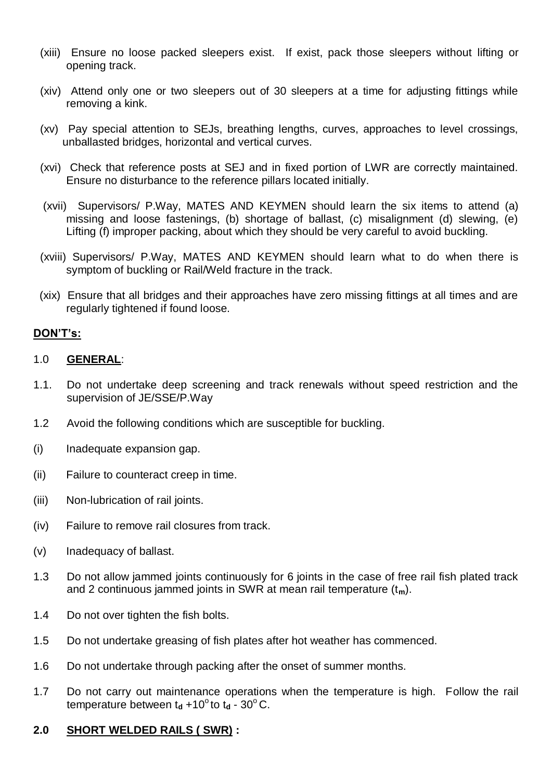- (xiii) Ensure no loose packed sleepers exist. If exist, pack those sleepers without lifting or opening track.
- (xiv) Attend only one or two sleepers out of 30 sleepers at a time for adjusting fittings while removing a kink.
- (xv) Pay special attention to SEJs, breathing lengths, curves, approaches to level crossings, unballasted bridges, horizontal and vertical curves.
- (xvi) Check that reference posts at SEJ and in fixed portion of LWR are correctly maintained. Ensure no disturbance to the reference pillars located initially.
- (xvii) Supervisors/ P.Way, MATES AND KEYMEN should learn the six items to attend (a) missing and loose fastenings, (b) shortage of ballast, (c) misalignment (d) slewing, (e) Lifting (f) improper packing, about which they should be very careful to avoid buckling.
- (xviii) Supervisors/ P.Way, MATES AND KEYMEN should learn what to do when there is symptom of buckling or Rail/Weld fracture in the track.
- (xix) Ensure that all bridges and their approaches have zero missing fittings at all times and are regularly tightened if found loose.

#### **DON'T's:**

#### 1.0 **GENERAL**:

- 1.1. Do not undertake deep screening and track renewals without speed restriction and the supervision of JE/SSE/P.Way
- 1.2 Avoid the following conditions which are susceptible for buckling.
- (i) Inadequate expansion gap.
- (ii) Failure to counteract creep in time.
- (iii) Non-lubrication of rail joints.
- (iv) Failure to remove rail closures from track.
- (v) Inadequacy of ballast.
- 1.3 Do not allow jammed joints continuously for 6 joints in the case of free rail fish plated track and 2 continuous jammed joints in SWR at mean rail temperature (t**m**).
- 1.4 Do not over tighten the fish bolts.
- 1.5 Do not undertake greasing of fish plates after hot weather has commenced.
- 1.6 Do not undertake through packing after the onset of summer months.
- 1.7 Do not carry out maintenance operations when the temperature is high. Follow the rail temperature between  $t_d$  +10<sup>o</sup>to  $t_d$  - 30<sup>o</sup>C.

## **2.0 SHORT WELDED RAILS ( SWR) :**